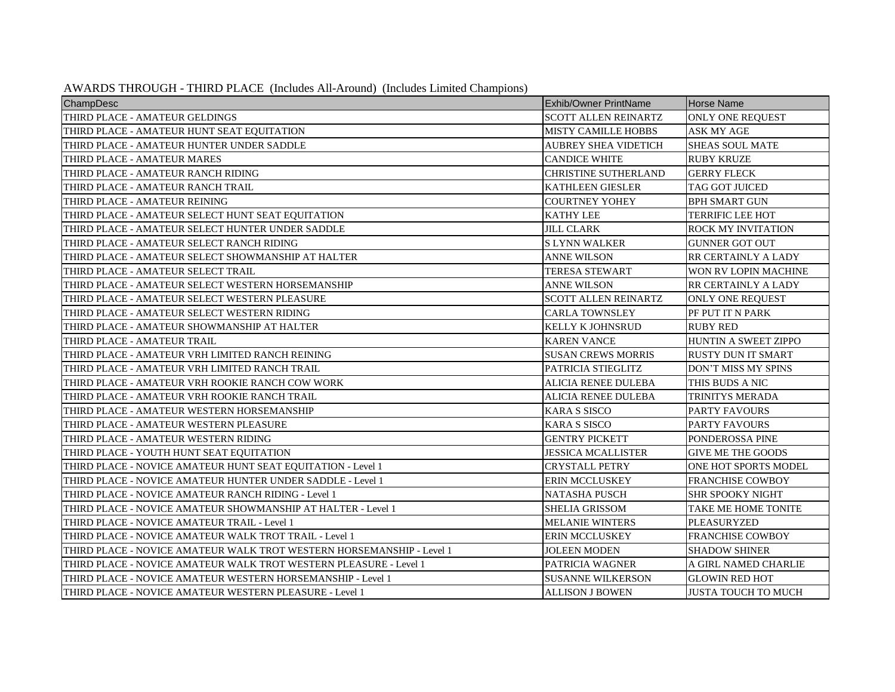| AWARDS THROUGH - THIRD PLACE (Includes All-Around) (Includes Limited Champions) |  |  |  |
|---------------------------------------------------------------------------------|--|--|--|
|---------------------------------------------------------------------------------|--|--|--|

| ChampDesc                                                             | <b>Exhib/Owner PrintName</b> | <b>Horse Name</b>          |
|-----------------------------------------------------------------------|------------------------------|----------------------------|
| THIRD PLACE - AMATEUR GELDINGS                                        | SCOTT ALLEN REINARTZ         | ONLY ONE REQUEST           |
| THIRD PLACE - AMATEUR HUNT SEAT EQUITATION                            | <b>MISTY CAMILLE HOBBS</b>   | <b>ASK MY AGE</b>          |
| THIRD PLACE - AMATEUR HUNTER UNDER SADDLE                             | <b>AUBREY SHEA VIDETICH</b>  | SHEAS SOUL MATE            |
| THIRD PLACE - AMATEUR MARES                                           | <b>CANDICE WHITE</b>         | <b>RUBY KRUZE</b>          |
| THIRD PLACE - AMATEUR RANCH RIDING                                    | <b>CHRISTINE SUTHERLAND</b>  | <b>GERRY FLECK</b>         |
| THIRD PLACE - AMATEUR RANCH TRAIL                                     | <b>KATHLEEN GIESLER</b>      | <b>TAG GOT JUICED</b>      |
| THIRD PLACE - AMATEUR REINING                                         | <b>COURTNEY YOHEY</b>        | <b>BPH SMART GUN</b>       |
| THIRD PLACE - AMATEUR SELECT HUNT SEAT EQUITATION                     | <b>KATHY LEE</b>             | <b>TERRIFIC LEE HOT</b>    |
| THIRD PLACE - AMATEUR SELECT HUNTER UNDER SADDLE                      | JILL CLARK                   | ROCK MY INVITATION         |
| THIRD PLACE - AMATEUR SELECT RANCH RIDING                             | <b>SLYNN WALKER</b>          | <b>GUNNER GOT OUT</b>      |
| THIRD PLACE - AMATEUR SELECT SHOWMANSHIP AT HALTER                    | <b>ANNE WILSON</b>           | RR CERTAINLY A LADY        |
| THIRD PLACE - AMATEUR SELECT TRAIL                                    | <b>TERESA STEWART</b>        | WON RV LOPIN MACHINE       |
| THIRD PLACE - AMATEUR SELECT WESTERN HORSEMANSHIP                     | ANNE WILSON                  | RR CERTAINLY A LADY        |
| THIRD PLACE - AMATEUR SELECT WESTERN PLEASURE                         | <b>SCOTT ALLEN REINARTZ</b>  | ONLY ONE REQUEST           |
| THIRD PLACE - AMATEUR SELECT WESTERN RIDING                           | <b>CARLA TOWNSLEY</b>        | PF PUT IT N PARK           |
| THIRD PLACE - AMATEUR SHOWMANSHIP AT HALTER                           | <b>KELLY K JOHNSRUD</b>      | <b>RUBY RED</b>            |
| THIRD PLACE - AMATEUR TRAIL                                           | <b>KAREN VANCE</b>           | HUNTIN A SWEET ZIPPO       |
| THIRD PLACE - AMATEUR VRH LIMITED RANCH REINING                       | <b>SUSAN CREWS MORRIS</b>    | <b>RUSTY DUN IT SMART</b>  |
| THIRD PLACE - AMATEUR VRH LIMITED RANCH TRAIL                         | PATRICIA STIEGLITZ           | DON'T MISS MY SPINS        |
| THIRD PLACE - AMATEUR VRH ROOKIE RANCH COW WORK                       | ALICIA RENEE DULEBA          | THIS BUDS A NIC            |
| THIRD PLACE - AMATEUR VRH ROOKIE RANCH TRAIL                          | ALICIA RENEE DULEBA          | TRINITYS MERADA            |
| THIRD PLACE - AMATEUR WESTERN HORSEMANSHIP                            | <b>KARA S SISCO</b>          | <b>PARTY FAVOURS</b>       |
| THIRD PLACE - AMATEUR WESTERN PLEASURE                                | <b>KARA S SISCO</b>          | <b>PARTY FAVOURS</b>       |
| THIRD PLACE - AMATEUR WESTERN RIDING                                  | <b>GENTRY PICKETT</b>        | PONDEROSSA PINE            |
| THIRD PLACE - YOUTH HUNT SEAT EQUITATION                              | <b>JESSICA MCALLISTER</b>    | <b>GIVE ME THE GOODS</b>   |
| THIRD PLACE - NOVICE AMATEUR HUNT SEAT EQUITATION - Level 1           | <b>CRYSTALL PETRY</b>        | ONE HOT SPORTS MODEL       |
| THIRD PLACE - NOVICE AMATEUR HUNTER UNDER SADDLE - Level 1            | <b>ERIN MCCLUSKEY</b>        | <b>FRANCHISE COWBOY</b>    |
| THIRD PLACE - NOVICE AMATEUR RANCH RIDING - Level 1                   | <b>NATASHA PUSCH</b>         | SHR SPOOKY NIGHT           |
| THIRD PLACE - NOVICE AMATEUR SHOWMANSHIP AT HALTER - Level 1          | <b>SHELIA GRISSOM</b>        | TAKE ME HOME TONITE        |
| THIRD PLACE - NOVICE AMATEUR TRAIL - Level 1                          | <b>MELANIE WINTERS</b>       | PLEASURYZED                |
| THIRD PLACE - NOVICE AMATEUR WALK TROT TRAIL - Level 1                | <b>ERIN MCCLUSKEY</b>        | <b>FRANCHISE COWBOY</b>    |
| THIRD PLACE - NOVICE AMATEUR WALK TROT WESTERN HORSEMANSHIP - Level 1 | <b>JOLEEN MODEN</b>          | <b>SHADOW SHINER</b>       |
| THIRD PLACE - NOVICE AMATEUR WALK TROT WESTERN PLEASURE - Level 1     | PATRICIA WAGNER              | A GIRL NAMED CHARLIE       |
| THIRD PLACE - NOVICE AMATEUR WESTERN HORSEMANSHIP - Level 1           | <b>SUSANNE WILKERSON</b>     | <b>GLOWIN RED HOT</b>      |
| THIRD PLACE - NOVICE AMATEUR WESTERN PLEASURE - Level 1               | <b>ALLISON J BOWEN</b>       | <b>JUSTA TOUCH TO MUCH</b> |